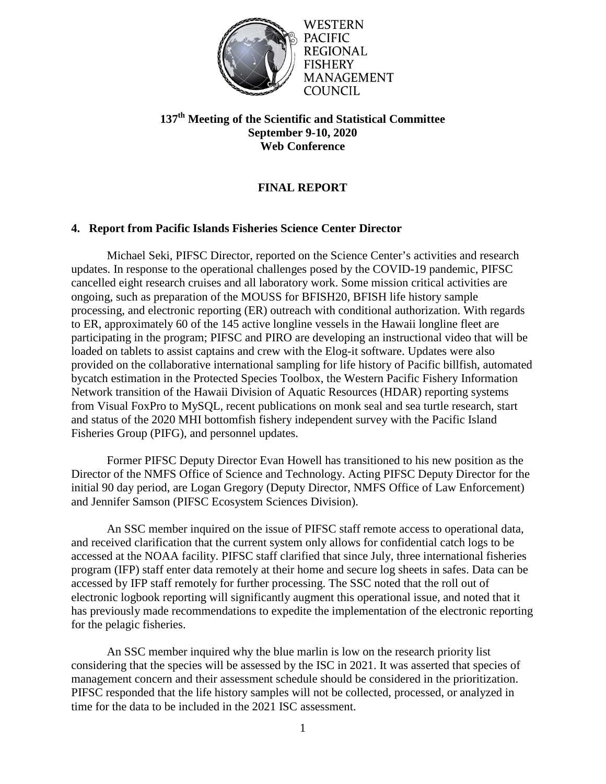

**WESTERN** PACIFIC REGIONAL **FISHERY MANAGEMENT** COUNCIL

# **137th Meeting of the Scientific and Statistical Committee September 9-10, 2020 Web Conference**

# **FINAL REPORT**

## **4. Report from Pacific Islands Fisheries Science Center Director**

Michael Seki, PIFSC Director, reported on the Science Center's activities and research updates. In response to the operational challenges posed by the COVID-19 pandemic, PIFSC cancelled eight research cruises and all laboratory work. Some mission critical activities are ongoing, such as preparation of the MOUSS for BFISH20, BFISH life history sample processing, and electronic reporting (ER) outreach with conditional authorization. With regards to ER, approximately 60 of the 145 active longline vessels in the Hawaii longline fleet are participating in the program; PIFSC and PIRO are developing an instructional video that will be loaded on tablets to assist captains and crew with the Elog-it software. Updates were also provided on the collaborative international sampling for life history of Pacific billfish, automated bycatch estimation in the Protected Species Toolbox, the Western Pacific Fishery Information Network transition of the Hawaii Division of Aquatic Resources (HDAR) reporting systems from Visual FoxPro to MySQL, recent publications on monk seal and sea turtle research, start and status of the 2020 MHI bottomfish fishery independent survey with the Pacific Island Fisheries Group (PIFG), and personnel updates.

Former PIFSC Deputy Director Evan Howell has transitioned to his new position as the Director of the NMFS Office of Science and Technology. Acting PIFSC Deputy Director for the initial 90 day period, are Logan Gregory (Deputy Director, NMFS Office of Law Enforcement) and Jennifer Samson (PIFSC Ecosystem Sciences Division).

An SSC member inquired on the issue of PIFSC staff remote access to operational data, and received clarification that the current system only allows for confidential catch logs to be accessed at the NOAA facility. PIFSC staff clarified that since July, three international fisheries program (IFP) staff enter data remotely at their home and secure log sheets in safes. Data can be accessed by IFP staff remotely for further processing. The SSC noted that the roll out of electronic logbook reporting will significantly augment this operational issue, and noted that it has previously made recommendations to expedite the implementation of the electronic reporting for the pelagic fisheries.

An SSC member inquired why the blue marlin is low on the research priority list considering that the species will be assessed by the ISC in 2021. It was asserted that species of management concern and their assessment schedule should be considered in the prioritization. PIFSC responded that the life history samples will not be collected, processed, or analyzed in time for the data to be included in the 2021 ISC assessment.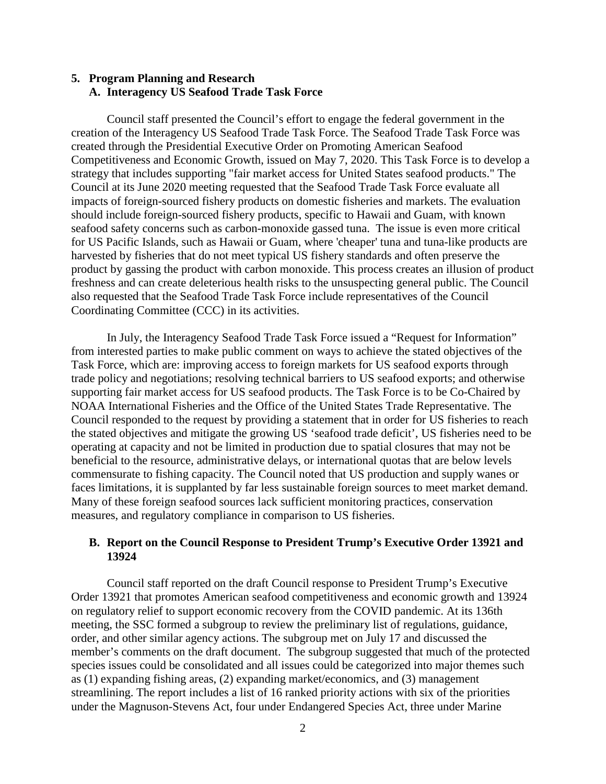#### **5. Program Planning and Research A. Interagency US Seafood Trade Task Force**

Council staff presented the Council's effort to engage the federal government in the creation of the Interagency US Seafood Trade Task Force. The Seafood Trade Task Force was created through the Presidential Executive Order on Promoting American Seafood Competitiveness and Economic Growth, issued on May 7, 2020. This Task Force is to develop a strategy that includes supporting "fair market access for United States seafood products." The Council at its June 2020 meeting requested that the Seafood Trade Task Force evaluate all impacts of foreign-sourced fishery products on domestic fisheries and markets. The evaluation should include foreign-sourced fishery products, specific to Hawaii and Guam, with known seafood safety concerns such as carbon-monoxide gassed tuna. The issue is even more critical for US Pacific Islands, such as Hawaii or Guam, where 'cheaper' tuna and tuna-like products are harvested by fisheries that do not meet typical US fishery standards and often preserve the product by gassing the product with carbon monoxide. This process creates an illusion of product freshness and can create deleterious health risks to the unsuspecting general public. The Council also requested that the Seafood Trade Task Force include representatives of the Council Coordinating Committee (CCC) in its activities.

In July, the Interagency Seafood Trade Task Force issued a "Request for Information" from interested parties to make public comment on ways to achieve the stated objectives of the Task Force, which are: improving access to foreign markets for US seafood exports through trade policy and negotiations; resolving technical barriers to US seafood exports; and otherwise supporting fair market access for US seafood products. The Task Force is to be Co-Chaired by NOAA International Fisheries and the Office of the United States Trade Representative. The Council responded to the request by providing a statement that in order for US fisheries to reach the stated objectives and mitigate the growing US 'seafood trade deficit', US fisheries need to be operating at capacity and not be limited in production due to spatial closures that may not be beneficial to the resource, administrative delays, or international quotas that are below levels commensurate to fishing capacity. The Council noted that US production and supply wanes or faces limitations, it is supplanted by far less sustainable foreign sources to meet market demand. Many of these foreign seafood sources lack sufficient monitoring practices, conservation measures, and regulatory compliance in comparison to US fisheries.

#### **B. Report on the Council Response to President Trump's Executive Order 13921 and 13924**

Council staff reported on the draft Council response to President Trump's Executive Order 13921 that promotes American seafood competitiveness and economic growth and 13924 on regulatory relief to support economic recovery from the COVID pandemic. At its 136th meeting, the SSC formed a subgroup to review the preliminary list of regulations, guidance, order, and other similar agency actions. The subgroup met on July 17 and discussed the member's comments on the draft document. The subgroup suggested that much of the protected species issues could be consolidated and all issues could be categorized into major themes such as (1) expanding fishing areas, (2) expanding market/economics, and (3) management streamlining. The report includes a list of 16 ranked priority actions with six of the priorities under the Magnuson-Stevens Act, four under Endangered Species Act, three under Marine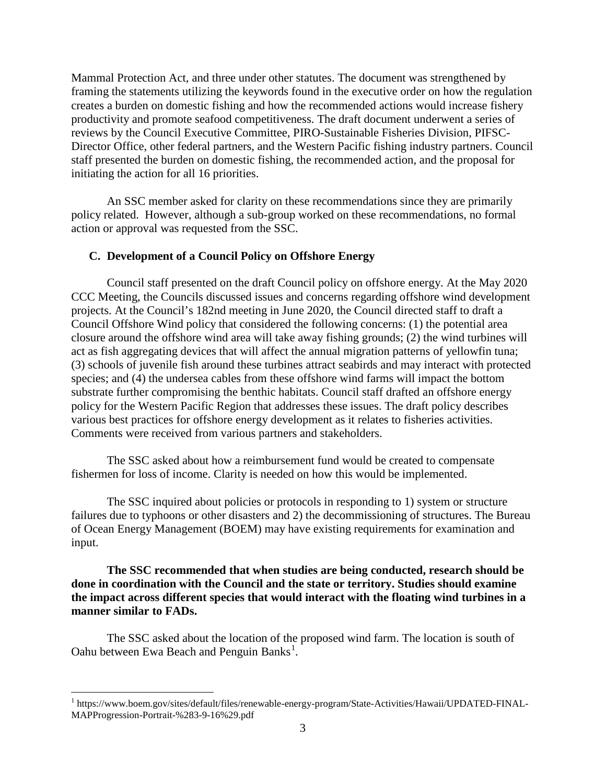Mammal Protection Act, and three under other statutes. The document was strengthened by framing the statements utilizing the keywords found in the executive order on how the regulation creates a burden on domestic fishing and how the recommended actions would increase fishery productivity and promote seafood competitiveness. The draft document underwent a series of reviews by the Council Executive Committee, PIRO-Sustainable Fisheries Division, PIFSC-Director Office, other federal partners, and the Western Pacific fishing industry partners. Council staff presented the burden on domestic fishing, the recommended action, and the proposal for initiating the action for all 16 priorities.

An SSC member asked for clarity on these recommendations since they are primarily policy related. However, although a sub-group worked on these recommendations, no formal action or approval was requested from the SSC.

#### **C. Development of a Council Policy on Offshore Energy**

Council staff presented on the draft Council policy on offshore energy. At the May 2020 CCC Meeting, the Councils discussed issues and concerns regarding offshore wind development projects. At the Council's 182nd meeting in June 2020, the Council directed staff to draft a Council Offshore Wind policy that considered the following concerns: (1) the potential area closure around the offshore wind area will take away fishing grounds; (2) the wind turbines will act as fish aggregating devices that will affect the annual migration patterns of yellowfin tuna; (3) schools of juvenile fish around these turbines attract seabirds and may interact with protected species; and (4) the undersea cables from these offshore wind farms will impact the bottom substrate further compromising the benthic habitats. Council staff drafted an offshore energy policy for the Western Pacific Region that addresses these issues. The draft policy describes various best practices for offshore energy development as it relates to fisheries activities. Comments were received from various partners and stakeholders.

The SSC asked about how a reimbursement fund would be created to compensate fishermen for loss of income. Clarity is needed on how this would be implemented.

The SSC inquired about policies or protocols in responding to 1) system or structure failures due to typhoons or other disasters and 2) the decommissioning of structures. The Bureau of Ocean Energy Management (BOEM) may have existing requirements for examination and input.

#### **The SSC recommended that when studies are being conducted, research should be done in coordination with the Council and the state or territory. Studies should examine the impact across different species that would interact with the floating wind turbines in a manner similar to FADs.**

The SSC asked about the location of the proposed wind farm. The location is south of Oahu between Ewa Beach and Penguin Banks<sup>[1](#page-2-0)</sup>.

<span id="page-2-0"></span> <sup>1</sup> https://www.boem.gov/sites/default/files/renewable-energy-program/State-Activities/Hawaii/UPDATED-FINAL-MAPProgression-Portrait-%283-9-16%29.pdf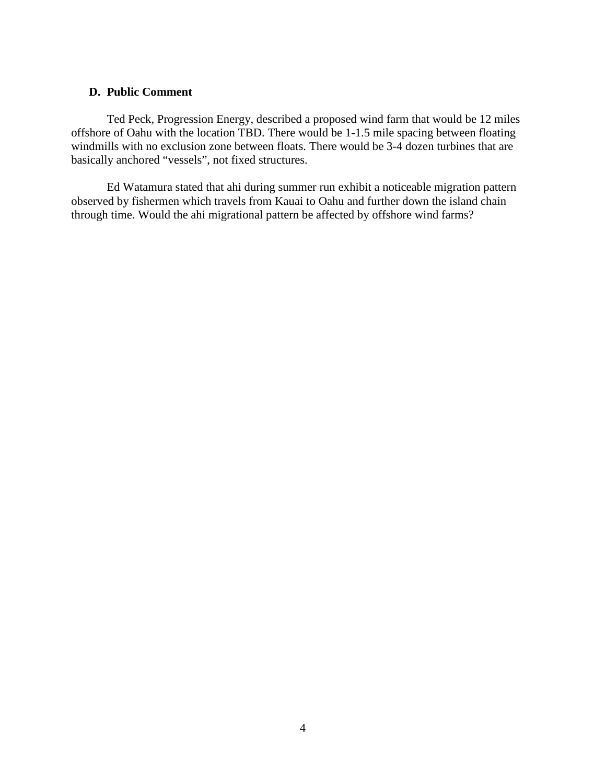#### **D. Public Comment**

Ted Peck, Progression Energy, described a proposed wind farm that would be 12 miles offshore of Oahu with the location TBD. There would be 1-1.5 mile spacing between floating windmills with no exclusion zone between floats. There would be 3-4 dozen turbines that are basically anchored "vessels", not fixed structures.

Ed Watamura stated that ahi during summer run exhibit a noticeable migration pattern observed by fishermen which travels from Kauai to Oahu and further down the island chain through time. Would the ahi migrational pattern be affected by offshore wind farms?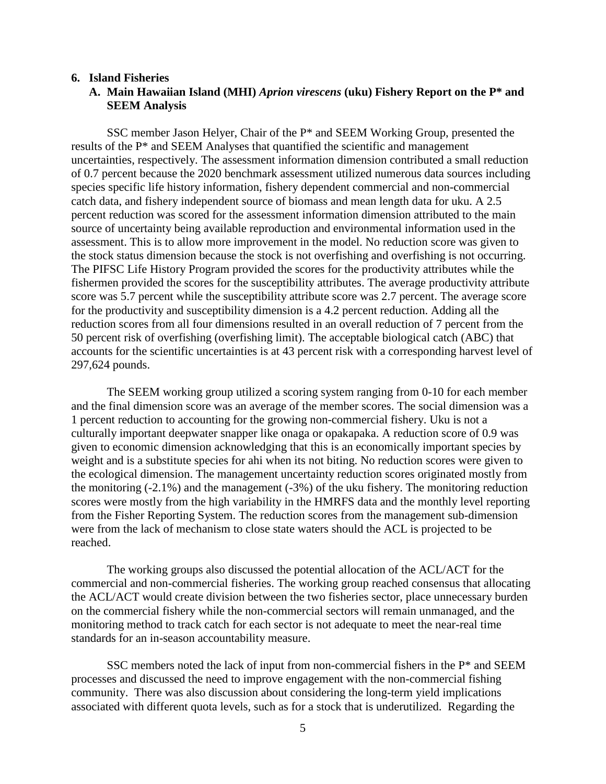#### **6. Island Fisheries**

#### **A. Main Hawaiian Island (MHI)** *Aprion virescens* **(uku) Fishery Report on the P\* and SEEM Analysis**

SSC member Jason Helyer, Chair of the P\* and SEEM Working Group, presented the results of the P\* and SEEM Analyses that quantified the scientific and management uncertainties, respectively. The assessment information dimension contributed a small reduction of 0.7 percent because the 2020 benchmark assessment utilized numerous data sources including species specific life history information, fishery dependent commercial and non-commercial catch data, and fishery independent source of biomass and mean length data for uku. A 2.5 percent reduction was scored for the assessment information dimension attributed to the main source of uncertainty being available reproduction and environmental information used in the assessment. This is to allow more improvement in the model. No reduction score was given to the stock status dimension because the stock is not overfishing and overfishing is not occurring. The PIFSC Life History Program provided the scores for the productivity attributes while the fishermen provided the scores for the susceptibility attributes. The average productivity attribute score was 5.7 percent while the susceptibility attribute score was 2.7 percent. The average score for the productivity and susceptibility dimension is a 4.2 percent reduction. Adding all the reduction scores from all four dimensions resulted in an overall reduction of 7 percent from the 50 percent risk of overfishing (overfishing limit). The acceptable biological catch (ABC) that accounts for the scientific uncertainties is at 43 percent risk with a corresponding harvest level of 297,624 pounds.

The SEEM working group utilized a scoring system ranging from 0-10 for each member and the final dimension score was an average of the member scores. The social dimension was a 1 percent reduction to accounting for the growing non-commercial fishery. Uku is not a culturally important deepwater snapper like onaga or opakapaka. A reduction score of 0.9 was given to economic dimension acknowledging that this is an economically important species by weight and is a substitute species for ahi when its not biting. No reduction scores were given to the ecological dimension. The management uncertainty reduction scores originated mostly from the monitoring (-2.1%) and the management (-3%) of the uku fishery. The monitoring reduction scores were mostly from the high variability in the HMRFS data and the monthly level reporting from the Fisher Reporting System. The reduction scores from the management sub-dimension were from the lack of mechanism to close state waters should the ACL is projected to be reached.

The working groups also discussed the potential allocation of the ACL/ACT for the commercial and non-commercial fisheries. The working group reached consensus that allocating the ACL/ACT would create division between the two fisheries sector, place unnecessary burden on the commercial fishery while the non-commercial sectors will remain unmanaged, and the monitoring method to track catch for each sector is not adequate to meet the near-real time standards for an in-season accountability measure.

SSC members noted the lack of input from non-commercial fishers in the P\* and SEEM processes and discussed the need to improve engagement with the non-commercial fishing community. There was also discussion about considering the long-term yield implications associated with different quota levels, such as for a stock that is underutilized. Regarding the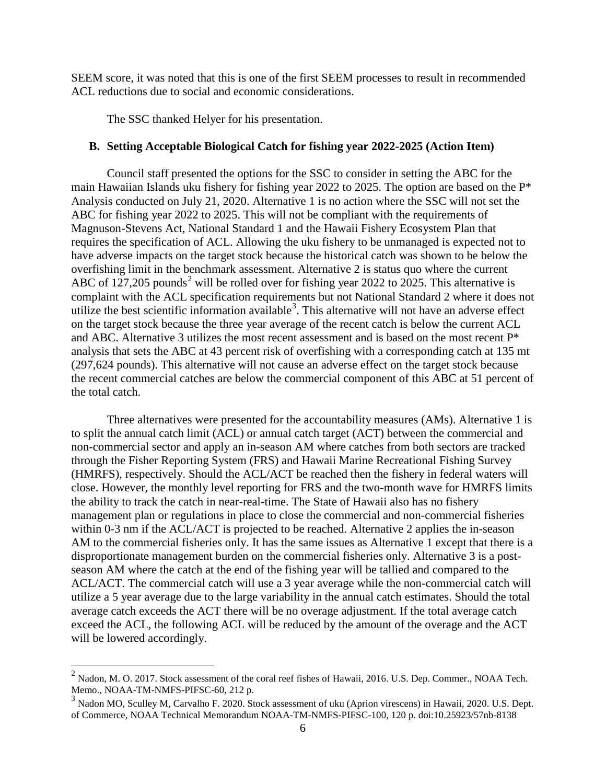SEEM score, it was noted that this is one of the first SEEM processes to result in recommended ACL reductions due to social and economic considerations.

The SSC thanked Helyer for his presentation.

#### **B. Setting Acceptable Biological Catch for fishing year 2022-2025 (Action Item)**

Council staff presented the options for the SSC to consider in setting the ABC for the main Hawaiian Islands uku fishery for fishing year 2022 to 2025. The option are based on the P\* Analysis conducted on July 21, 2020. Alternative 1 is no action where the SSC will not set the ABC for fishing year 2022 to 2025. This will not be compliant with the requirements of Magnuson-Stevens Act, National Standard 1 and the Hawaii Fishery Ecosystem Plan that requires the specification of ACL. Allowing the uku fishery to be unmanaged is expected not to have adverse impacts on the target stock because the historical catch was shown to be below the overfishing limit in the benchmark assessment. Alternative 2 is status quo where the current ABC of  $127,205$  $127,205$  $127,205$  pounds<sup>2</sup> will be rolled over for fishing year 2022 to 2025. This alternative is complaint with the ACL specification requirements but not National Standard 2 where it does not utilize the best scientific information available<sup>[3](#page-5-1)</sup>. This alternative will not have an adverse effect on the target stock because the three year average of the recent catch is below the current ACL and ABC. Alternative 3 utilizes the most recent assessment and is based on the most recent P\* analysis that sets the ABC at 43 percent risk of overfishing with a corresponding catch at 135 mt (297,624 pounds). This alternative will not cause an adverse effect on the target stock because the recent commercial catches are below the commercial component of this ABC at 51 percent of the total catch.

Three alternatives were presented for the accountability measures (AMs). Alternative 1 is to split the annual catch limit (ACL) or annual catch target (ACT) between the commercial and non-commercial sector and apply an in-season AM where catches from both sectors are tracked through the Fisher Reporting System (FRS) and Hawaii Marine Recreational Fishing Survey (HMRFS), respectively. Should the ACL/ACT be reached then the fishery in federal waters will close. However, the monthly level reporting for FRS and the two-month wave for HMRFS limits the ability to track the catch in near-real-time. The State of Hawaii also has no fishery management plan or regulations in place to close the commercial and non-commercial fisheries within 0-3 nm if the ACL/ACT is projected to be reached. Alternative 2 applies the in-season AM to the commercial fisheries only. It has the same issues as Alternative 1 except that there is a disproportionate management burden on the commercial fisheries only. Alternative 3 is a postseason AM where the catch at the end of the fishing year will be tallied and compared to the ACL/ACT. The commercial catch will use a 3 year average while the non-commercial catch will utilize a 5 year average due to the large variability in the annual catch estimates. Should the total average catch exceeds the ACT there will be no overage adjustment. If the total average catch exceed the ACL, the following ACL will be reduced by the amount of the overage and the ACT will be lowered accordingly.

<span id="page-5-0"></span> $^{2}$  Nadon, M. O. 2017. Stock assessment of the coral reef fishes of Hawaii, 2016. U.S. Dep. Commer., NOAA Tech. Memo., NOAA-TM-NMFS-PIFSC-60, 212 p.

<span id="page-5-1"></span><sup>&</sup>lt;sup>3</sup> Nadon MO, Sculley M, Carvalho F. 2020. Stock assessment of uku (Aprion virescens) in Hawaii, 2020. U.S. Dept. of Commerce, NOAA Technical Memorandum NOAA-TM-NMFS-PIFSC-100, 120 p. doi:10.25923/57nb-8138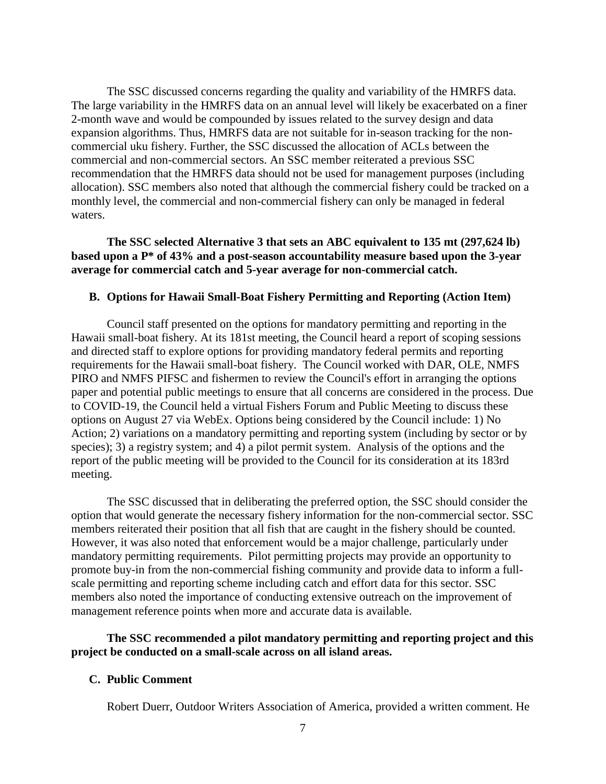The SSC discussed concerns regarding the quality and variability of the HMRFS data. The large variability in the HMRFS data on an annual level will likely be exacerbated on a finer 2-month wave and would be compounded by issues related to the survey design and data expansion algorithms. Thus, HMRFS data are not suitable for in-season tracking for the noncommercial uku fishery. Further, the SSC discussed the allocation of ACLs between the commercial and non-commercial sectors. An SSC member reiterated a previous SSC recommendation that the HMRFS data should not be used for management purposes (including allocation). SSC members also noted that although the commercial fishery could be tracked on a monthly level, the commercial and non-commercial fishery can only be managed in federal waters.

**The SSC selected Alternative 3 that sets an ABC equivalent to 135 mt (297,624 lb) based upon a P\* of 43% and a post-season accountability measure based upon the 3-year average for commercial catch and 5-year average for non-commercial catch.**

#### **B. Options for Hawaii Small-Boat Fishery Permitting and Reporting (Action Item)**

Council staff presented on the options for mandatory permitting and reporting in the Hawaii small-boat fishery. At its 181st meeting, the Council heard a report of scoping sessions and directed staff to explore options for providing mandatory federal permits and reporting requirements for the Hawaii small-boat fishery. The Council worked with DAR, OLE, NMFS PIRO and NMFS PIFSC and fishermen to review the Council's effort in arranging the options paper and potential public meetings to ensure that all concerns are considered in the process. Due to COVID-19, the Council held a virtual Fishers Forum and Public Meeting to discuss these options on August 27 via WebEx. Options being considered by the Council include: 1) No Action; 2) variations on a mandatory permitting and reporting system (including by sector or by species); 3) a registry system; and 4) a pilot permit system. Analysis of the options and the report of the public meeting will be provided to the Council for its consideration at its 183rd meeting.

The SSC discussed that in deliberating the preferred option, the SSC should consider the option that would generate the necessary fishery information for the non-commercial sector. SSC members reiterated their position that all fish that are caught in the fishery should be counted. However, it was also noted that enforcement would be a major challenge, particularly under mandatory permitting requirements. Pilot permitting projects may provide an opportunity to promote buy-in from the non-commercial fishing community and provide data to inform a fullscale permitting and reporting scheme including catch and effort data for this sector. SSC members also noted the importance of conducting extensive outreach on the improvement of management reference points when more and accurate data is available.

#### **The SSC recommended a pilot mandatory permitting and reporting project and this project be conducted on a small-scale across on all island areas.**

#### **C. Public Comment**

Robert Duerr, Outdoor Writers Association of America, provided a written comment. He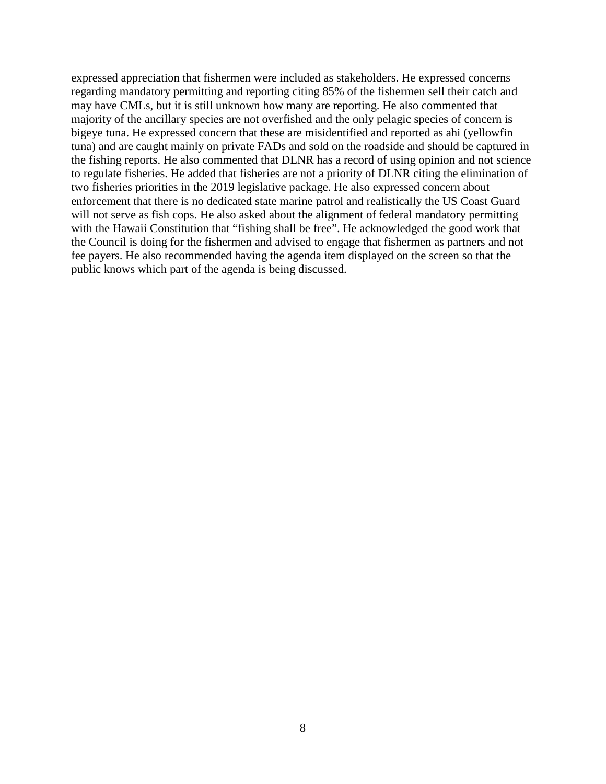expressed appreciation that fishermen were included as stakeholders. He expressed concerns regarding mandatory permitting and reporting citing 85% of the fishermen sell their catch and may have CMLs, but it is still unknown how many are reporting. He also commented that majority of the ancillary species are not overfished and the only pelagic species of concern is bigeye tuna. He expressed concern that these are misidentified and reported as ahi (yellowfin tuna) and are caught mainly on private FADs and sold on the roadside and should be captured in the fishing reports. He also commented that DLNR has a record of using opinion and not science to regulate fisheries. He added that fisheries are not a priority of DLNR citing the elimination of two fisheries priorities in the 2019 legislative package. He also expressed concern about enforcement that there is no dedicated state marine patrol and realistically the US Coast Guard will not serve as fish cops. He also asked about the alignment of federal mandatory permitting with the Hawaii Constitution that "fishing shall be free". He acknowledged the good work that the Council is doing for the fishermen and advised to engage that fishermen as partners and not fee payers. He also recommended having the agenda item displayed on the screen so that the public knows which part of the agenda is being discussed.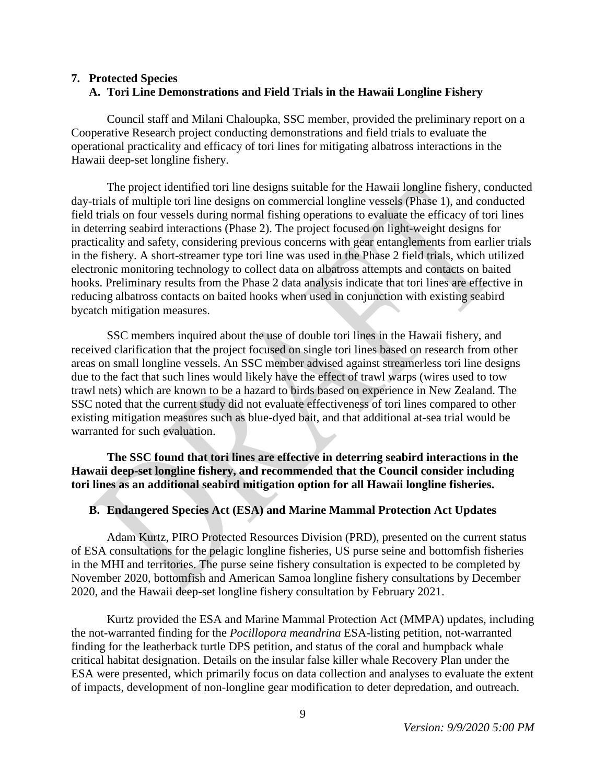## **7. Protected Species A. Tori Line Demonstrations and Field Trials in the Hawaii Longline Fishery**

Council staff and Milani Chaloupka, SSC member, provided the preliminary report on a Cooperative Research project conducting demonstrations and field trials to evaluate the operational practicality and efficacy of tori lines for mitigating albatross interactions in the Hawaii deep-set longline fishery.

The project identified tori line designs suitable for the Hawaii longline fishery, conducted day-trials of multiple tori line designs on commercial longline vessels (Phase 1), and conducted field trials on four vessels during normal fishing operations to evaluate the efficacy of tori lines in deterring seabird interactions (Phase 2). The project focused on light-weight designs for practicality and safety, considering previous concerns with gear entanglements from earlier trials in the fishery. A short-streamer type tori line was used in the Phase 2 field trials, which utilized electronic monitoring technology to collect data on albatross attempts and contacts on baited hooks. Preliminary results from the Phase 2 data analysis indicate that tori lines are effective in reducing albatross contacts on baited hooks when used in conjunction with existing seabird bycatch mitigation measures.

SSC members inquired about the use of double tori lines in the Hawaii fishery, and received clarification that the project focused on single tori lines based on research from other areas on small longline vessels. An SSC member advised against streamerless tori line designs due to the fact that such lines would likely have the effect of trawl warps (wires used to tow trawl nets) which are known to be a hazard to birds based on experience in New Zealand. The SSC noted that the current study did not evaluate effectiveness of tori lines compared to other existing mitigation measures such as blue-dyed bait, and that additional at-sea trial would be warranted for such evaluation.

**The SSC found that tori lines are effective in deterring seabird interactions in the Hawaii deep-set longline fishery, and recommended that the Council consider including tori lines as an additional seabird mitigation option for all Hawaii longline fisheries.** 

#### **B. Endangered Species Act (ESA) and Marine Mammal Protection Act Updates**

Adam Kurtz, PIRO Protected Resources Division (PRD), presented on the current status of ESA consultations for the pelagic longline fisheries, US purse seine and bottomfish fisheries in the MHI and territories. The purse seine fishery consultation is expected to be completed by November 2020, bottomfish and American Samoa longline fishery consultations by December 2020, and the Hawaii deep-set longline fishery consultation by February 2021.

Kurtz provided the ESA and Marine Mammal Protection Act (MMPA) updates, including the not-warranted finding for the *Pocillopora meandrina* ESA-listing petition, not-warranted finding for the leatherback turtle DPS petition, and status of the coral and humpback whale critical habitat designation. Details on the insular false killer whale Recovery Plan under the ESA were presented, which primarily focus on data collection and analyses to evaluate the extent of impacts, development of non-longline gear modification to deter depredation, and outreach.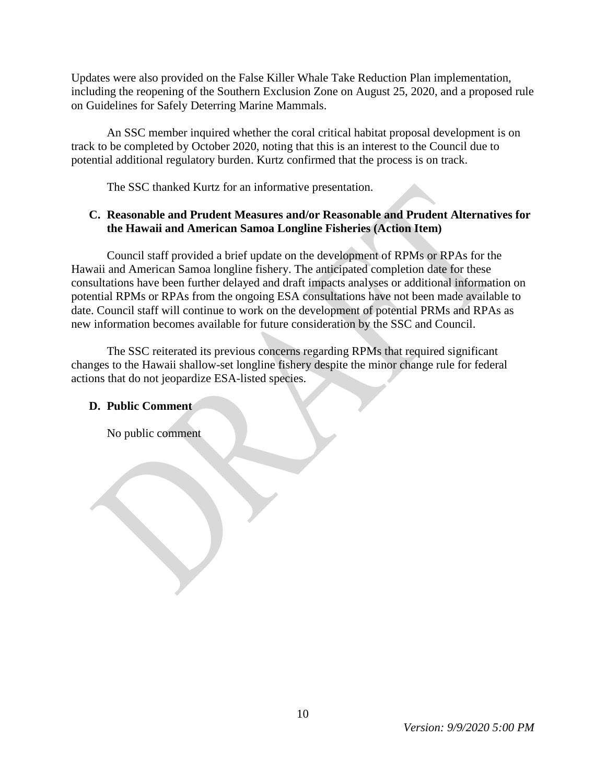Updates were also provided on the False Killer Whale Take Reduction Plan implementation, including the reopening of the Southern Exclusion Zone on August 25, 2020, and a proposed rule on Guidelines for Safely Deterring Marine Mammals.

An SSC member inquired whether the coral critical habitat proposal development is on track to be completed by October 2020, noting that this is an interest to the Council due to potential additional regulatory burden. Kurtz confirmed that the process is on track.

The SSC thanked Kurtz for an informative presentation.

# **C. Reasonable and Prudent Measures and/or Reasonable and Prudent Alternatives for the Hawaii and American Samoa Longline Fisheries (Action Item)**

Council staff provided a brief update on the development of RPMs or RPAs for the Hawaii and American Samoa longline fishery. The anticipated completion date for these consultations have been further delayed and draft impacts analyses or additional information on potential RPMs or RPAs from the ongoing ESA consultations have not been made available to date. Council staff will continue to work on the development of potential PRMs and RPAs as new information becomes available for future consideration by the SSC and Council.

The SSC reiterated its previous concerns regarding RPMs that required significant changes to the Hawaii shallow-set longline fishery despite the minor change rule for federal actions that do not jeopardize ESA-listed species.

## **D. Public Comment**

No public comment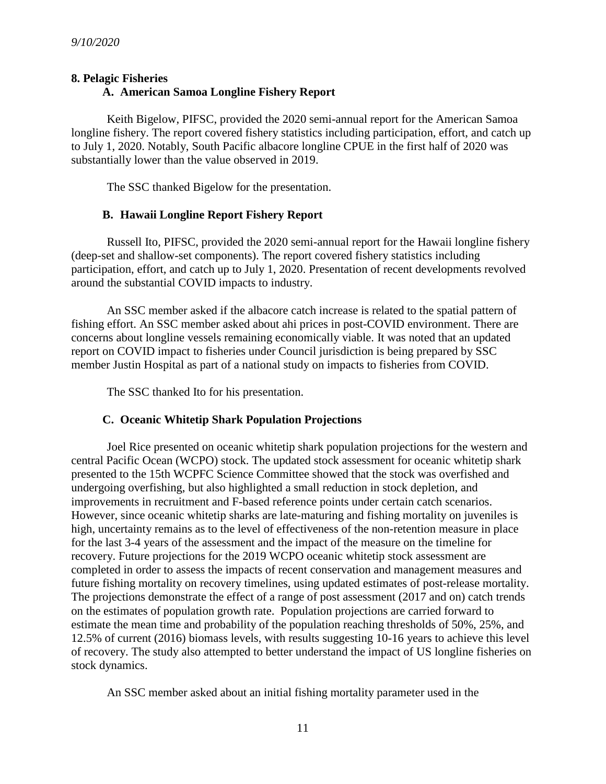#### **8. Pelagic Fisheries**

#### **A. American Samoa Longline Fishery Report**

Keith Bigelow, PIFSC, provided the 2020 semi-annual report for the American Samoa longline fishery. The report covered fishery statistics including participation, effort, and catch up to July 1, 2020. Notably, South Pacific albacore longline CPUE in the first half of 2020 was substantially lower than the value observed in 2019.

The SSC thanked Bigelow for the presentation.

#### **B. Hawaii Longline Report Fishery Report**

Russell Ito, PIFSC, provided the 2020 semi-annual report for the Hawaii longline fishery (deep-set and shallow-set components). The report covered fishery statistics including participation, effort, and catch up to July 1, 2020. Presentation of recent developments revolved around the substantial COVID impacts to industry.

An SSC member asked if the albacore catch increase is related to the spatial pattern of fishing effort. An SSC member asked about ahi prices in post-COVID environment. There are concerns about longline vessels remaining economically viable. It was noted that an updated report on COVID impact to fisheries under Council jurisdiction is being prepared by SSC member Justin Hospital as part of a national study on impacts to fisheries from COVID.

The SSC thanked Ito for his presentation.

#### **C. Oceanic Whitetip Shark Population Projections**

Joel Rice presented on oceanic whitetip shark population projections for the western and central Pacific Ocean (WCPO) stock. The updated stock assessment for oceanic whitetip shark presented to the 15th WCPFC Science Committee showed that the stock was overfished and undergoing overfishing, but also highlighted a small reduction in stock depletion, and improvements in recruitment and F-based reference points under certain catch scenarios. However, since oceanic whitetip sharks are late-maturing and fishing mortality on juveniles is high, uncertainty remains as to the level of effectiveness of the non-retention measure in place for the last 3-4 years of the assessment and the impact of the measure on the timeline for recovery. Future projections for the 2019 WCPO oceanic whitetip stock assessment are completed in order to assess the impacts of recent conservation and management measures and future fishing mortality on recovery timelines, using updated estimates of post-release mortality. The projections demonstrate the effect of a range of post assessment (2017 and on) catch trends on the estimates of population growth rate. Population projections are carried forward to estimate the mean time and probability of the population reaching thresholds of 50%, 25%, and 12.5% of current (2016) biomass levels, with results suggesting 10-16 years to achieve this level of recovery. The study also attempted to better understand the impact of US longline fisheries on stock dynamics.

An SSC member asked about an initial fishing mortality parameter used in the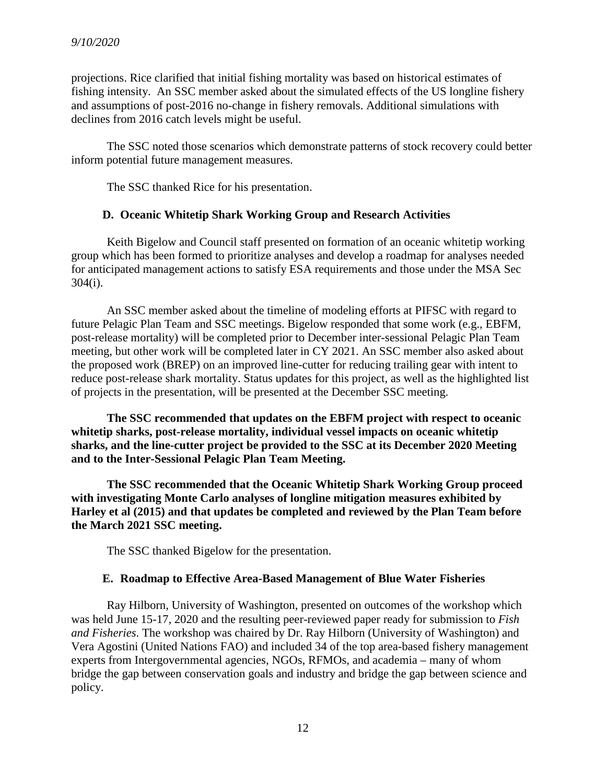projections. Rice clarified that initial fishing mortality was based on historical estimates of fishing intensity. An SSC member asked about the simulated effects of the US longline fishery and assumptions of post-2016 no-change in fishery removals. Additional simulations with declines from 2016 catch levels might be useful.

The SSC noted those scenarios which demonstrate patterns of stock recovery could better inform potential future management measures.

The SSC thanked Rice for his presentation.

#### **D. Oceanic Whitetip Shark Working Group and Research Activities**

Keith Bigelow and Council staff presented on formation of an oceanic whitetip working group which has been formed to prioritize analyses and develop a roadmap for analyses needed for anticipated management actions to satisfy ESA requirements and those under the MSA Sec 304(i).

An SSC member asked about the timeline of modeling efforts at PIFSC with regard to future Pelagic Plan Team and SSC meetings. Bigelow responded that some work (e.g., EBFM, post-release mortality) will be completed prior to December inter-sessional Pelagic Plan Team meeting, but other work will be completed later in CY 2021. An SSC member also asked about the proposed work (BREP) on an improved line-cutter for reducing trailing gear with intent to reduce post-release shark mortality. Status updates for this project, as well as the highlighted list of projects in the presentation, will be presented at the December SSC meeting.

**The SSC recommended that updates on the EBFM project with respect to oceanic whitetip sharks, post-release mortality, individual vessel impacts on oceanic whitetip sharks, and the line-cutter project be provided to the SSC at its December 2020 Meeting and to the Inter-Sessional Pelagic Plan Team Meeting.**

**The SSC recommended that the Oceanic Whitetip Shark Working Group proceed with investigating Monte Carlo analyses of longline mitigation measures exhibited by Harley et al (2015) and that updates be completed and reviewed by the Plan Team before the March 2021 SSC meeting.**

The SSC thanked Bigelow for the presentation.

#### **E. Roadmap to Effective Area-Based Management of Blue Water Fisheries**

Ray Hilborn, University of Washington, presented on outcomes of the workshop which was held June 15-17, 2020 and the resulting peer-reviewed paper ready for submission to *Fish and Fisheries*. The workshop was chaired by Dr. Ray Hilborn (University of Washington) and Vera Agostini (United Nations FAO) and included 34 of the top area-based fishery management experts from Intergovernmental agencies, NGOs, RFMOs, and academia – many of whom bridge the gap between conservation goals and industry and bridge the gap between science and policy.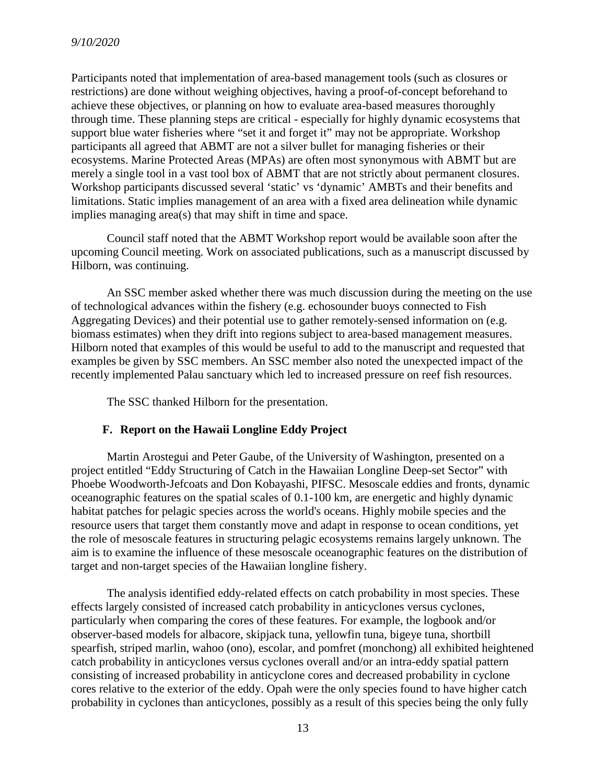Participants noted that implementation of area-based management tools (such as closures or restrictions) are done without weighing objectives, having a proof-of-concept beforehand to achieve these objectives, or planning on how to evaluate area-based measures thoroughly through time. These planning steps are critical - especially for highly dynamic ecosystems that support blue water fisheries where "set it and forget it" may not be appropriate. Workshop participants all agreed that ABMT are not a silver bullet for managing fisheries or their ecosystems. Marine Protected Areas (MPAs) are often most synonymous with ABMT but are merely a single tool in a vast tool box of ABMT that are not strictly about permanent closures. Workshop participants discussed several 'static' vs 'dynamic' AMBTs and their benefits and limitations. Static implies management of an area with a fixed area delineation while dynamic implies managing area(s) that may shift in time and space.

Council staff noted that the ABMT Workshop report would be available soon after the upcoming Council meeting. Work on associated publications, such as a manuscript discussed by Hilborn, was continuing.

An SSC member asked whether there was much discussion during the meeting on the use of technological advances within the fishery (e.g. echosounder buoys connected to Fish Aggregating Devices) and their potential use to gather remotely-sensed information on (e.g. biomass estimates) when they drift into regions subject to area-based management measures. Hilborn noted that examples of this would be useful to add to the manuscript and requested that examples be given by SSC members. An SSC member also noted the unexpected impact of the recently implemented Palau sanctuary which led to increased pressure on reef fish resources.

The SSC thanked Hilborn for the presentation.

#### **F. Report on the Hawaii Longline Eddy Project**

Martin Arostegui and Peter Gaube, of the University of Washington, presented on a project entitled "Eddy Structuring of Catch in the Hawaiian Longline Deep-set Sector" with Phoebe Woodworth-Jefcoats and Don Kobayashi, PIFSC. Mesoscale eddies and fronts, dynamic oceanographic features on the spatial scales of 0.1-100 km, are energetic and highly dynamic habitat patches for pelagic species across the world's oceans. Highly mobile species and the resource users that target them constantly move and adapt in response to ocean conditions, yet the role of mesoscale features in structuring pelagic ecosystems remains largely unknown. The aim is to examine the influence of these mesoscale oceanographic features on the distribution of target and non-target species of the Hawaiian longline fishery.

The analysis identified eddy-related effects on catch probability in most species. These effects largely consisted of increased catch probability in anticyclones versus cyclones, particularly when comparing the cores of these features. For example, the logbook and/or observer-based models for albacore, skipjack tuna, yellowfin tuna, bigeye tuna, shortbill spearfish, striped marlin, wahoo (ono), escolar, and pomfret (monchong) all exhibited heightened catch probability in anticyclones versus cyclones overall and/or an intra-eddy spatial pattern consisting of increased probability in anticyclone cores and decreased probability in cyclone cores relative to the exterior of the eddy. Opah were the only species found to have higher catch probability in cyclones than anticyclones, possibly as a result of this species being the only fully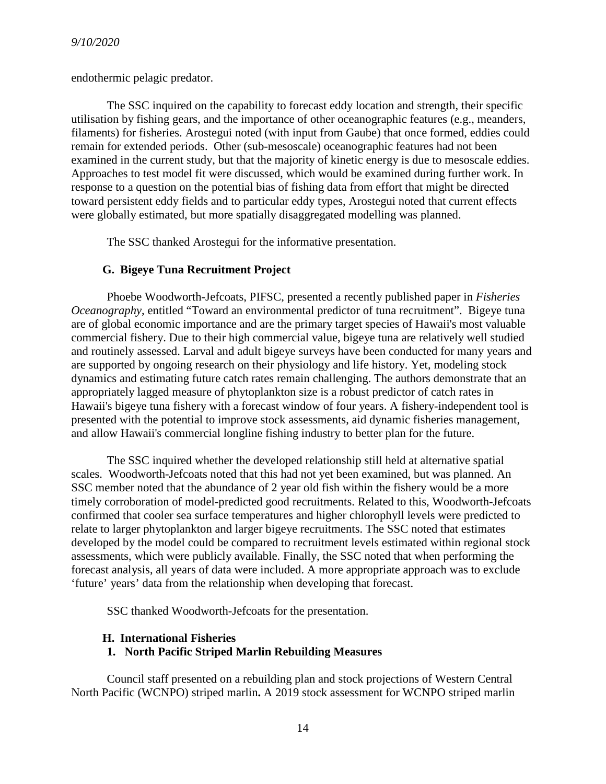endothermic pelagic predator.

The SSC inquired on the capability to forecast eddy location and strength, their specific utilisation by fishing gears, and the importance of other oceanographic features (e.g., meanders, filaments) for fisheries. Arostegui noted (with input from Gaube) that once formed, eddies could remain for extended periods. Other (sub-mesoscale) oceanographic features had not been examined in the current study, but that the majority of kinetic energy is due to mesoscale eddies. Approaches to test model fit were discussed, which would be examined during further work. In response to a question on the potential bias of fishing data from effort that might be directed toward persistent eddy fields and to particular eddy types, Arostegui noted that current effects were globally estimated, but more spatially disaggregated modelling was planned.

The SSC thanked Arostegui for the informative presentation.

## **G. Bigeye Tuna Recruitment Project**

Phoebe Woodworth-Jefcoats, PIFSC, presented a recently published paper in *Fisheries Oceanography*, entitled "Toward an environmental predictor of tuna recruitment". Bigeye tuna are of global economic importance and are the primary target species of Hawaii's most valuable commercial fishery. Due to their high commercial value, bigeye tuna are relatively well studied and routinely assessed. Larval and adult bigeye surveys have been conducted for many years and are supported by ongoing research on their physiology and life history. Yet, modeling stock dynamics and estimating future catch rates remain challenging. The authors demonstrate that an appropriately lagged measure of phytoplankton size is a robust predictor of catch rates in Hawaii's bigeye tuna fishery with a forecast window of four years. A fishery-independent tool is presented with the potential to improve stock assessments, aid dynamic fisheries management, and allow Hawaii's commercial longline fishing industry to better plan for the future.

The SSC inquired whether the developed relationship still held at alternative spatial scales. Woodworth-Jefcoats noted that this had not yet been examined, but was planned. An SSC member noted that the abundance of 2 year old fish within the fishery would be a more timely corroboration of model-predicted good recruitments. Related to this, Woodworth-Jefcoats confirmed that cooler sea surface temperatures and higher chlorophyll levels were predicted to relate to larger phytoplankton and larger bigeye recruitments. The SSC noted that estimates developed by the model could be compared to recruitment levels estimated within regional stock assessments, which were publicly available. Finally, the SSC noted that when performing the forecast analysis, all years of data were included. A more appropriate approach was to exclude 'future' years' data from the relationship when developing that forecast.

SSC thanked Woodworth-Jefcoats for the presentation.

#### **H. International Fisheries**

## **1. North Pacific Striped Marlin Rebuilding Measures**

Council staff presented on a rebuilding plan and stock projections of Western Central North Pacific (WCNPO) striped marlin**.** A 2019 stock assessment for WCNPO striped marlin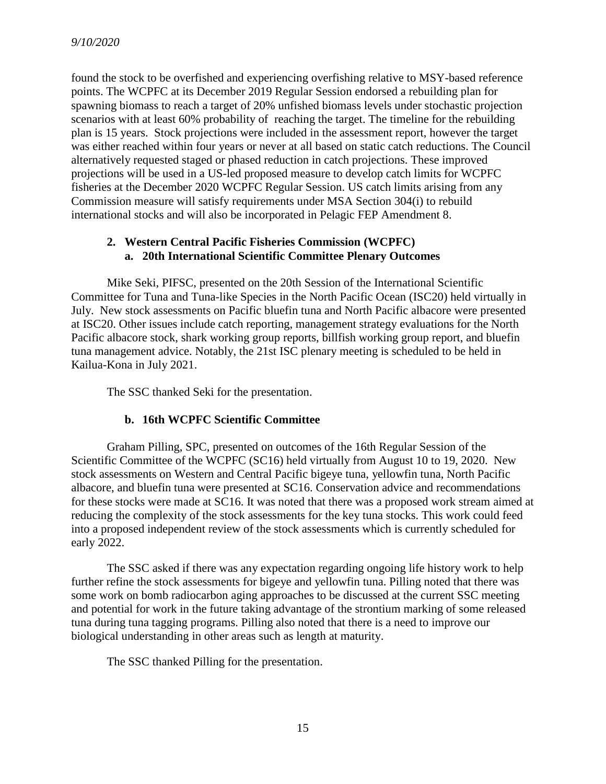found the stock to be overfished and experiencing overfishing relative to MSY-based reference points. The WCPFC at its December 2019 Regular Session endorsed a rebuilding plan for spawning biomass to reach a target of 20% unfished biomass levels under stochastic projection scenarios with at least 60% probability of reaching the target. The timeline for the rebuilding plan is 15 years. Stock projections were included in the assessment report, however the target was either reached within four years or never at all based on static catch reductions. The Council alternatively requested staged or phased reduction in catch projections. These improved projections will be used in a US-led proposed measure to develop catch limits for WCPFC fisheries at the December 2020 WCPFC Regular Session. US catch limits arising from any Commission measure will satisfy requirements under MSA Section 304(i) to rebuild international stocks and will also be incorporated in Pelagic FEP Amendment 8.

## **2. Western Central Pacific Fisheries Commission (WCPFC) a. 20th International Scientific Committee Plenary Outcomes**

Mike Seki, PIFSC, presented on the 20th Session of the International Scientific Committee for Tuna and Tuna-like Species in the North Pacific Ocean (ISC20) held virtually in July. New stock assessments on Pacific bluefin tuna and North Pacific albacore were presented at ISC20. Other issues include catch reporting, management strategy evaluations for the North Pacific albacore stock, shark working group reports, billfish working group report, and bluefin tuna management advice. Notably, the 21st ISC plenary meeting is scheduled to be held in Kailua-Kona in July 2021.

The SSC thanked Seki for the presentation.

## **b. 16th WCPFC Scientific Committee**

Graham Pilling, SPC, presented on outcomes of the 16th Regular Session of the Scientific Committee of the WCPFC (SC16) held virtually from August 10 to 19, 2020. New stock assessments on Western and Central Pacific bigeye tuna, yellowfin tuna, North Pacific albacore, and bluefin tuna were presented at SC16. Conservation advice and recommendations for these stocks were made at SC16. It was noted that there was a proposed work stream aimed at reducing the complexity of the stock assessments for the key tuna stocks. This work could feed into a proposed independent review of the stock assessments which is currently scheduled for early 2022.

The SSC asked if there was any expectation regarding ongoing life history work to help further refine the stock assessments for bigeye and yellowfin tuna. Pilling noted that there was some work on bomb radiocarbon aging approaches to be discussed at the current SSC meeting and potential for work in the future taking advantage of the strontium marking of some released tuna during tuna tagging programs. Pilling also noted that there is a need to improve our biological understanding in other areas such as length at maturity.

The SSC thanked Pilling for the presentation.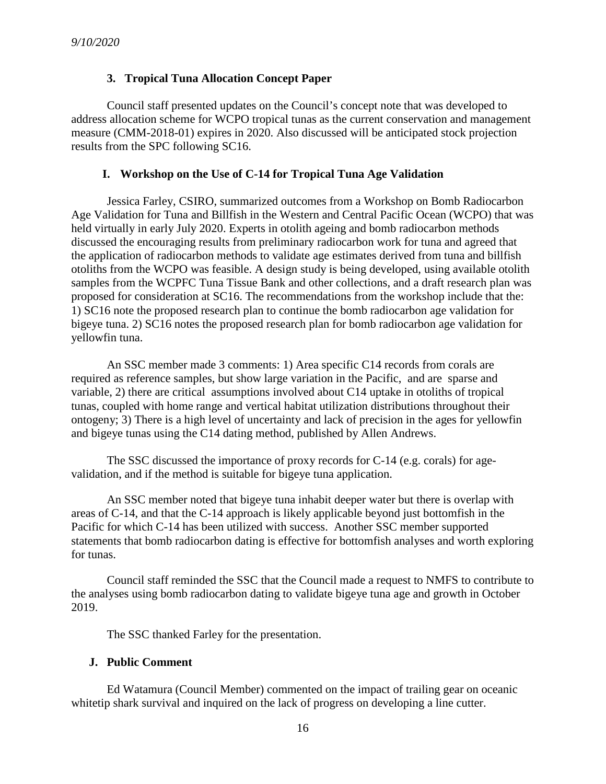## **3. Tropical Tuna Allocation Concept Paper**

Council staff presented updates on the Council's concept note that was developed to address allocation scheme for WCPO tropical tunas as the current conservation and management measure (CMM-2018-01) expires in 2020. Also discussed will be anticipated stock projection results from the SPC following SC16.

#### **I. Workshop on the Use of C-14 for Tropical Tuna Age Validation**

Jessica Farley, CSIRO, summarized outcomes from a Workshop on Bomb Radiocarbon Age Validation for Tuna and Billfish in the Western and Central Pacific Ocean (WCPO) that was held virtually in early July 2020. Experts in otolith ageing and bomb radiocarbon methods discussed the encouraging results from preliminary radiocarbon work for tuna and agreed that the application of radiocarbon methods to validate age estimates derived from tuna and billfish otoliths from the WCPO was feasible. A design study is being developed, using available otolith samples from the WCPFC Tuna Tissue Bank and other collections, and a draft research plan was proposed for consideration at SC16. The recommendations from the workshop include that the: 1) SC16 note the proposed research plan to continue the bomb radiocarbon age validation for bigeye tuna. 2) SC16 notes the proposed research plan for bomb radiocarbon age validation for yellowfin tuna.

An SSC member made 3 comments: 1) Area specific C14 records from corals are required as reference samples, but show large variation in the Pacific, and are sparse and variable, 2) there are critical assumptions involved about C14 uptake in otoliths of tropical tunas, coupled with home range and vertical habitat utilization distributions throughout their ontogeny; 3) There is a high level of uncertainty and lack of precision in the ages for yellowfin and bigeye tunas using the C14 dating method, published by Allen Andrews.

The SSC discussed the importance of proxy records for C-14 (e.g. corals) for agevalidation, and if the method is suitable for bigeye tuna application.

An SSC member noted that bigeye tuna inhabit deeper water but there is overlap with areas of C-14, and that the C-14 approach is likely applicable beyond just bottomfish in the Pacific for which C-14 has been utilized with success. Another SSC member supported statements that bomb radiocarbon dating is effective for bottomfish analyses and worth exploring for tunas.

Council staff reminded the SSC that the Council made a request to NMFS to contribute to the analyses using bomb radiocarbon dating to validate bigeye tuna age and growth in October 2019.

The SSC thanked Farley for the presentation.

#### **J. Public Comment**

Ed Watamura (Council Member) commented on the impact of trailing gear on oceanic whitetip shark survival and inquired on the lack of progress on developing a line cutter.